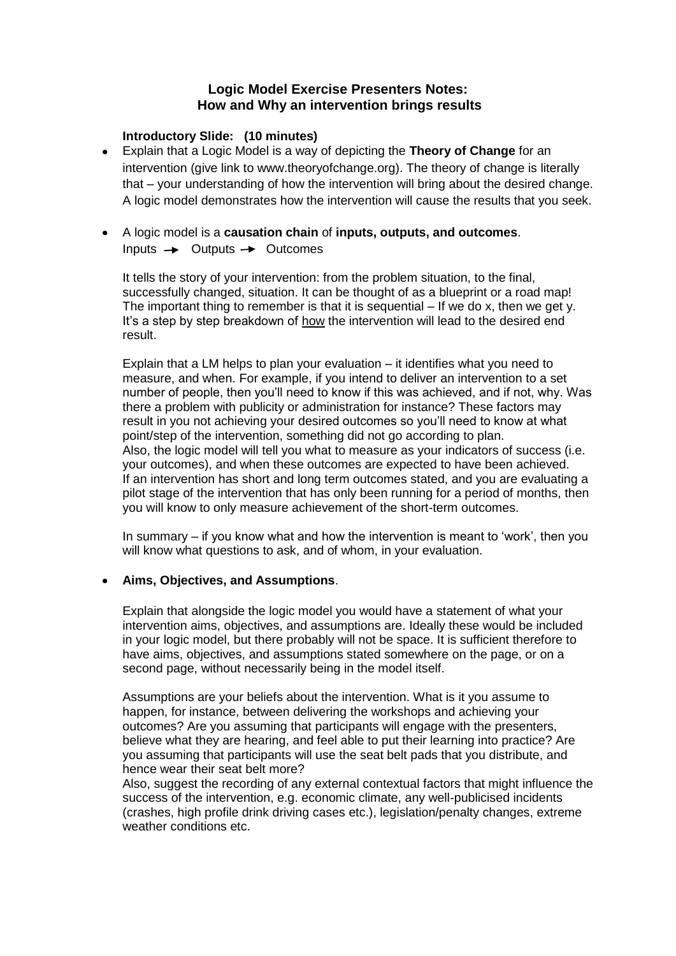# **Logic Model Exercise Presenters Notes: How and Why an intervention brings results**

# **Introductory Slide: (10 minutes)**

- Explain that a Logic Model is a way of depicting the **Theory of Change** for an  $\bullet$ intervention (give link to www.theoryofchange.org). The theory of change is literally that – your understanding of how the intervention will bring about the desired change. A logic model demonstrates how the intervention will cause the results that you seek.
- A logic model is a **causation chain** of **inputs, outputs, and outcomes**. Inputs  $\rightarrow$  Outputs  $\rightarrow$  Outcomes

It tells the story of your intervention: from the problem situation, to the final, successfully changed, situation. It can be thought of as a blueprint or a road map! The important thing to remember is that it is sequential  $-$  If we do x, then we get y. It"s a step by step breakdown of how the intervention will lead to the desired end result.

Explain that a LM helps to plan your evaluation – it identifies what you need to measure, and when. For example, if you intend to deliver an intervention to a set number of people, then you"ll need to know if this was achieved, and if not, why. Was there a problem with publicity or administration for instance? These factors may result in you not achieving your desired outcomes so you"ll need to know at what point/step of the intervention, something did not go according to plan. Also, the logic model will tell you what to measure as your indicators of success (i.e. your outcomes), and when these outcomes are expected to have been achieved. If an intervention has short and long term outcomes stated, and you are evaluating a pilot stage of the intervention that has only been running for a period of months, then you will know to only measure achievement of the short-term outcomes.

In summary – if you know what and how the intervention is meant to "work", then you will know what questions to ask, and of whom, in your evaluation.

## **Aims, Objectives, and Assumptions**.

Explain that alongside the logic model you would have a statement of what your intervention aims, objectives, and assumptions are. Ideally these would be included in your logic model, but there probably will not be space. It is sufficient therefore to have aims, objectives, and assumptions stated somewhere on the page, or on a second page, without necessarily being in the model itself.

Assumptions are your beliefs about the intervention. What is it you assume to happen, for instance, between delivering the workshops and achieving your outcomes? Are you assuming that participants will engage with the presenters, believe what they are hearing, and feel able to put their learning into practice? Are you assuming that participants will use the seat belt pads that you distribute, and hence wear their seat belt more?

Also, suggest the recording of any external contextual factors that might influence the success of the intervention, e.g. economic climate, any well-publicised incidents (crashes, high profile drink driving cases etc.), legislation/penalty changes, extreme weather conditions etc.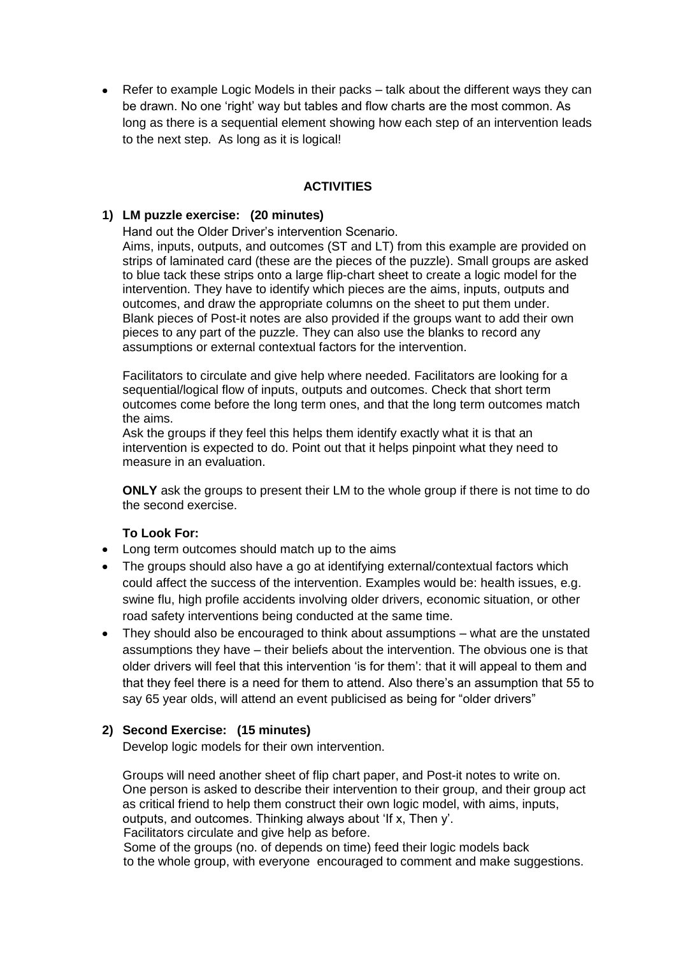• Refer to example Logic Models in their packs – talk about the different ways they can be drawn. No one "right" way but tables and flow charts are the most common. As long as there is a sequential element showing how each step of an intervention leads to the next step. As long as it is logical!

# **ACTIVITIES**

## **1) LM puzzle exercise: (20 minutes)**

Hand out the Older Driver"s intervention Scenario.

Aims, inputs, outputs, and outcomes (ST and LT) from this example are provided on strips of laminated card (these are the pieces of the puzzle). Small groups are asked to blue tack these strips onto a large flip-chart sheet to create a logic model for the intervention. They have to identify which pieces are the aims, inputs, outputs and outcomes, and draw the appropriate columns on the sheet to put them under. Blank pieces of Post-it notes are also provided if the groups want to add their own pieces to any part of the puzzle. They can also use the blanks to record any assumptions or external contextual factors for the intervention.

Facilitators to circulate and give help where needed. Facilitators are looking for a sequential/logical flow of inputs, outputs and outcomes. Check that short term outcomes come before the long term ones, and that the long term outcomes match the aims.

Ask the groups if they feel this helps them identify exactly what it is that an intervention is expected to do. Point out that it helps pinpoint what they need to measure in an evaluation.

**ONLY** ask the groups to present their LM to the whole group if there is not time to do the second exercise.

## **To Look For:**

- Long term outcomes should match up to the aims
- The groups should also have a go at identifying external/contextual factors which could affect the success of the intervention. Examples would be: health issues, e.g. swine flu, high profile accidents involving older drivers, economic situation, or other road safety interventions being conducted at the same time.
- $\bullet$ They should also be encouraged to think about assumptions – what are the unstated assumptions they have – their beliefs about the intervention. The obvious one is that older drivers will feel that this intervention "is for them": that it will appeal to them and that they feel there is a need for them to attend. Also there"s an assumption that 55 to say 65 year olds, will attend an event publicised as being for "older drivers"

# **2) Second Exercise: (15 minutes)**

Develop logic models for their own intervention.

Groups will need another sheet of flip chart paper, and Post-it notes to write on. One person is asked to describe their intervention to their group, and their group act as critical friend to help them construct their own logic model, with aims, inputs, outputs, and outcomes. Thinking always about "If x, Then y". Facilitators circulate and give help as before.

Some of the groups (no. of depends on time) feed their logic models back to the whole group, with everyone encouraged to comment and make suggestions.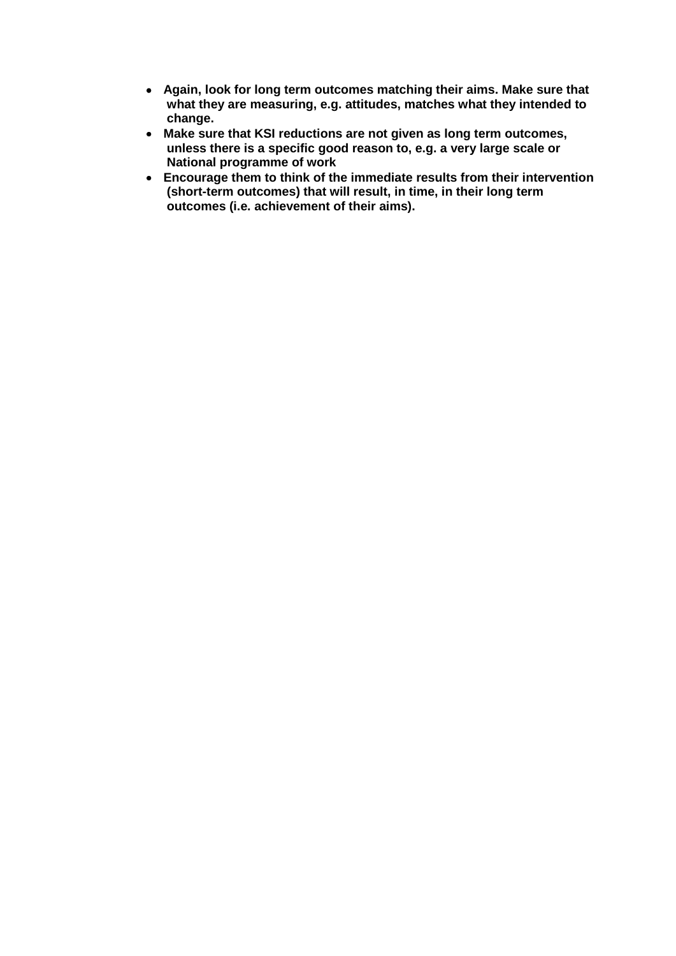- **Again, look for long term outcomes matching their aims. Make sure that what they are measuring, e.g. attitudes, matches what they intended to change.**
- **Make sure that KSI reductions are not given as long term outcomes, unless there is a specific good reason to, e.g. a very large scale or National programme of work**
- **Encourage them to think of the immediate results from their intervention (short-term outcomes) that will result, in time, in their long term outcomes (i.e. achievement of their aims).**